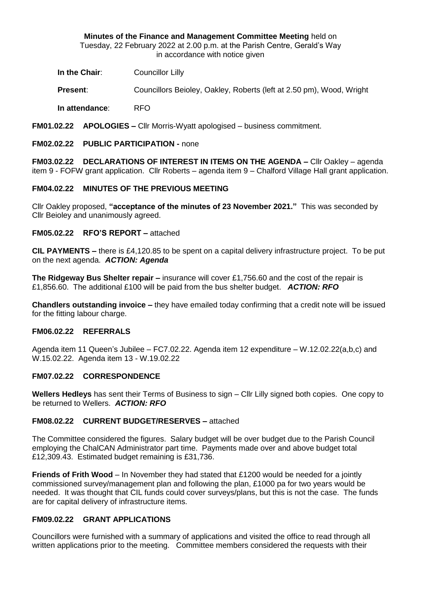**Minutes of the Finance and Management Committee Meeting** held on Tuesday, 22 February 2022 at 2.00 p.m. at the Parish Centre, Gerald's Way in accordance with notice given

**In the Chair:** Councillor Lilly

**Present**: Councillors Beioley, Oakley, Roberts (left at 2.50 pm), Wood, Wright

**In attendance**: RFO

**FM01.02.22 APOLOGIES –** Cllr Morris-Wyatt apologised – business commitment.

## **FM02.02.22 PUBLIC PARTICIPATION -** none

**FM03.02.22 DECLARATIONS OF INTEREST IN ITEMS ON THE AGENDA –** Cllr Oakley – agenda item 9 - FOFW grant application. Cllr Roberts – agenda item 9 – Chalford Village Hall grant application.

#### **FM04.02.22 MINUTES OF THE PREVIOUS MEETING**

Cllr Oakley proposed, **"acceptance of the minutes of 23 November 2021."** This was seconded by Cllr Beioley and unanimously agreed.

#### **FM05.02.22 RFO'S REPORT –** attached

**CIL PAYMENTS –** there is £4,120.85 to be spent on a capital delivery infrastructure project. To be put on the next agenda. *ACTION: Agenda*

**The Ridgeway Bus Shelter repair –** insurance will cover £1,756.60 and the cost of the repair is £1,856.60. The additional £100 will be paid from the bus shelter budget. *ACTION: RFO*

**Chandlers outstanding invoice –** they have emailed today confirming that a credit note will be issued for the fitting labour charge.

#### **FM06.02.22 REFERRALS**

Agenda item 11 Queen's Jubilee – FC7.02.22. Agenda item 12 expenditure – W.12.02.22(a,b,c) and W.15.02.22. Agenda item 13 - W.19.02.22

#### **FM07.02.22 CORRESPONDENCE**

**Wellers Hedleys** has sent their Terms of Business to sign – Cllr Lilly signed both copies. One copy to be returned to Wellers. *ACTION: RFO*

#### **FM08.02.22 CURRENT BUDGET/RESERVES –** attached

The Committee considered the figures. Salary budget will be over budget due to the Parish Council employing the ChalCAN Administrator part time. Payments made over and above budget total £12,309.43. Estimated budget remaining is £31,736.

**Friends of Frith Wood** – In November they had stated that £1200 would be needed for a jointly commissioned survey/management plan and following the plan, £1000 pa for two years would be needed. It was thought that CIL funds could cover surveys/plans, but this is not the case. The funds are for capital delivery of infrastructure items.

## **FM09.02.22 GRANT APPLICATIONS**

Councillors were furnished with a summary of applications and visited the office to read through all written applications prior to the meeting. Committee members considered the requests with their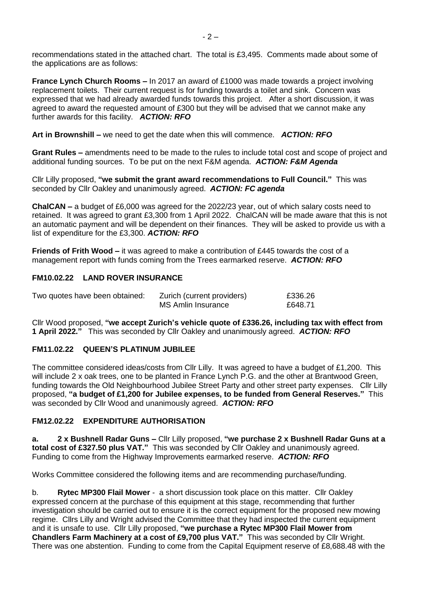recommendations stated in the attached chart. The total is £3,495. Comments made about some of the applications are as follows:

**France Lynch Church Rooms –** In 2017 an award of £1000 was made towards a project involving replacement toilets. Their current request is for funding towards a toilet and sink. Concern was expressed that we had already awarded funds towards this project. After a short discussion, it was agreed to award the requested amount of £300 but they will be advised that we cannot make any further awards for this facility. *ACTION: RFO*

**Art in Brownshill –** we need to get the date when this will commence. *ACTION: RFO*

**Grant Rules –** amendments need to be made to the rules to include total cost and scope of project and additional funding sources. To be put on the next F&M agenda. *ACTION: F&M Agenda*

Cllr Lilly proposed, **"we submit the grant award recommendations to Full Council."** This was seconded by Cllr Oakley and unanimously agreed. *ACTION: FC agenda*

**ChalCAN –** a budget of £6,000 was agreed for the 2022/23 year, out of which salary costs need to retained. It was agreed to grant £3,300 from 1 April 2022. ChalCAN will be made aware that this is not an automatic payment and will be dependent on their finances. They will be asked to provide us with a list of expenditure for the £3,300. *ACTION: RFO*

**Friends of Frith Wood –** it was agreed to make a contribution of £445 towards the cost of a management report with funds coming from the Trees earmarked reserve. *ACTION: RFO*

## **FM10.02.22 LAND ROVER INSURANCE**

| Two quotes have been obtained: | Zurich (current providers) | £336.26 |
|--------------------------------|----------------------------|---------|
|                                | MS Amlin Insurance         | £648.71 |

Cllr Wood proposed, **"we accept Zurich's vehicle quote of £336.26, including tax with effect from 1 April 2022."** This was seconded by Cllr Oakley and unanimously agreed. *ACTION: RFO*

## **FM11.02.22 QUEEN'S PLATINUM JUBILEE**

The committee considered ideas/costs from Cllr Lilly. It was agreed to have a budget of £1,200. This will include 2 x oak trees, one to be planted in France Lynch P.G. and the other at Brantwood Green, funding towards the Old Neighbourhood Jubilee Street Party and other street party expenses. Cllr Lilly proposed, **"a budget of £1,200 for Jubilee expenses, to be funded from General Reserves."** This was seconded by Cllr Wood and unanimously agreed. *ACTION: RFO*

## **FM12.02.22 EXPENDITURE AUTHORISATION**

**a. 2 x Bushnell Radar Guns –** Cllr Lilly proposed, **"we purchase 2 x Bushnell Radar Guns at a total cost of £327.50 plus VAT."** This was seconded by Cllr Oakley and unanimously agreed. Funding to come from the Highway Improvements earmarked reserve. *ACTION: RFO*

Works Committee considered the following items and are recommending purchase/funding.

b. **Rytec MP300 Flail Mower** - a short discussion took place on this matter. Cllr Oakley expressed concern at the purchase of this equipment at this stage, recommending that further investigation should be carried out to ensure it is the correct equipment for the proposed new mowing regime. Cllrs Lilly and Wright advised the Committee that they had inspected the current equipment and it is unsafe to use. Cllr Lilly proposed, **"we purchase a Rytec MP300 Flail Mower from Chandlers Farm Machinery at a cost of £9,700 plus VAT."** This was seconded by Cllr Wright. There was one abstention. Funding to come from the Capital Equipment reserve of £8,688.48 with the